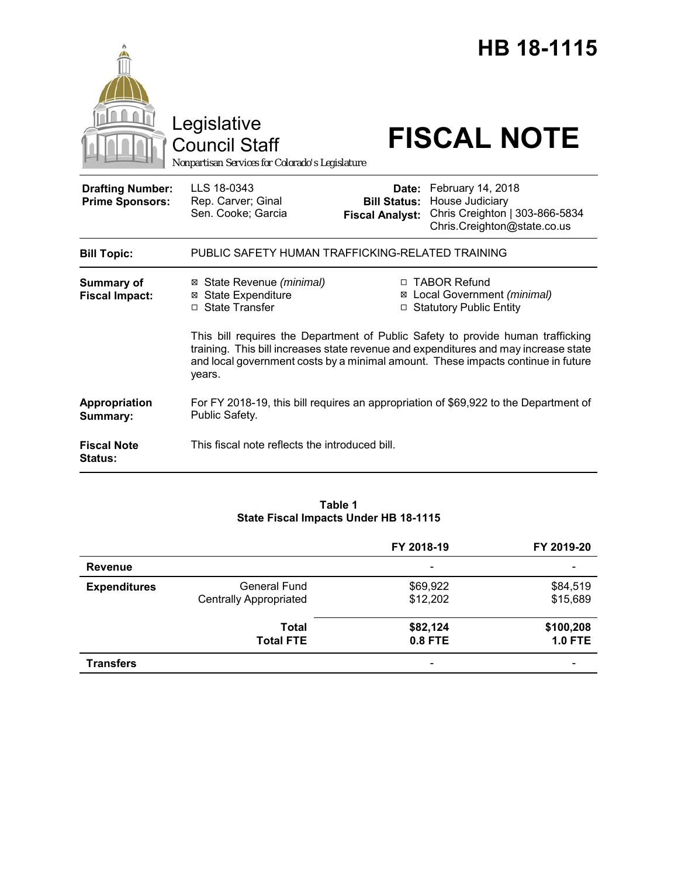|                                                   | Legislative<br><b>Council Staff</b><br>Nonpartisan Services for Colorado's Legislature |                                               | HB 18-1115<br><b>FISCAL NOTE</b>                                                                                                                                                                                                                                                                                                          |
|---------------------------------------------------|----------------------------------------------------------------------------------------|-----------------------------------------------|-------------------------------------------------------------------------------------------------------------------------------------------------------------------------------------------------------------------------------------------------------------------------------------------------------------------------------------------|
| <b>Drafting Number:</b><br><b>Prime Sponsors:</b> | LLS 18-0343<br>Rep. Carver; Ginal<br>Sen. Cooke; Garcia                                | <b>Bill Status:</b><br><b>Fiscal Analyst:</b> | Date: February 14, 2018<br>House Judiciary<br>Chris Creighton   303-866-5834<br>Chris.Creighton@state.co.us                                                                                                                                                                                                                               |
| <b>Bill Topic:</b>                                | PUBLIC SAFETY HUMAN TRAFFICKING-RELATED TRAINING                                       |                                               |                                                                                                                                                                                                                                                                                                                                           |
| <b>Summary of</b><br><b>Fiscal Impact:</b>        | ⊠ State Revenue (minimal)<br><b>⊠</b> State Expenditure<br>□ State Transfer            |                                               | □ TABOR Refund<br>⊠ Local Government (minimal)<br>□ Statutory Public Entity<br>This bill requires the Department of Public Safety to provide human trafficking<br>training. This bill increases state revenue and expenditures and may increase state<br>and local government costs by a minimal amount. These impacts continue in future |
|                                                   | years.                                                                                 |                                               |                                                                                                                                                                                                                                                                                                                                           |
| Appropriation<br>Summary:                         | Public Safety.                                                                         |                                               | For FY 2018-19, this bill requires an appropriation of \$69,922 to the Department of                                                                                                                                                                                                                                                      |
| <b>Fiscal Note</b><br>Status:                     | This fiscal note reflects the introduced bill.                                         |                                               |                                                                                                                                                                                                                                                                                                                                           |

## **Table 1 State Fiscal Impacts Under HB 18-1115**

|                     |                                                      | FY 2018-19               | FY 2019-20                  |
|---------------------|------------------------------------------------------|--------------------------|-----------------------------|
| <b>Revenue</b>      |                                                      | $\overline{\phantom{a}}$ |                             |
| <b>Expenditures</b> | <b>General Fund</b><br><b>Centrally Appropriated</b> | \$69,922<br>\$12,202     | \$84,519<br>\$15,689        |
|                     | Total<br><b>Total FTE</b>                            | \$82,124<br>0.8 FTE      | \$100,208<br><b>1.0 FTE</b> |
| <b>Transfers</b>    |                                                      | -                        |                             |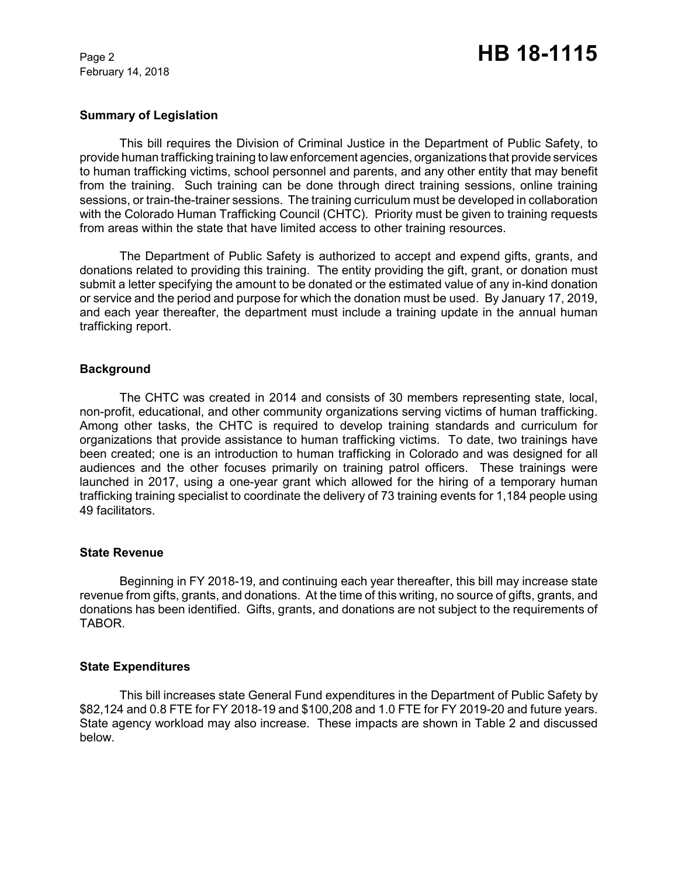February 14, 2018

### **Summary of Legislation**

This bill requires the Division of Criminal Justice in the Department of Public Safety, to provide human trafficking training to law enforcement agencies, organizations that provide services to human trafficking victims, school personnel and parents, and any other entity that may benefit from the training. Such training can be done through direct training sessions, online training sessions, or train-the-trainer sessions. The training curriculum must be developed in collaboration with the Colorado Human Trafficking Council (CHTC). Priority must be given to training requests from areas within the state that have limited access to other training resources.

The Department of Public Safety is authorized to accept and expend gifts, grants, and donations related to providing this training. The entity providing the gift, grant, or donation must submit a letter specifying the amount to be donated or the estimated value of any in-kind donation or service and the period and purpose for which the donation must be used. By January 17, 2019, and each year thereafter, the department must include a training update in the annual human trafficking report.

### **Background**

The CHTC was created in 2014 and consists of 30 members representing state, local, non-profit, educational, and other community organizations serving victims of human trafficking. Among other tasks, the CHTC is required to develop training standards and curriculum for organizations that provide assistance to human trafficking victims. To date, two trainings have been created; one is an introduction to human trafficking in Colorado and was designed for all audiences and the other focuses primarily on training patrol officers. These trainings were launched in 2017, using a one-year grant which allowed for the hiring of a temporary human trafficking training specialist to coordinate the delivery of 73 training events for 1,184 people using 49 facilitators.

#### **State Revenue**

Beginning in FY 2018-19, and continuing each year thereafter, this bill may increase state revenue from gifts, grants, and donations. At the time of this writing, no source of gifts, grants, and donations has been identified. Gifts, grants, and donations are not subject to the requirements of TABOR.

### **State Expenditures**

This bill increases state General Fund expenditures in the Department of Public Safety by \$82,124 and 0.8 FTE for FY 2018-19 and \$100,208 and 1.0 FTE for FY 2019-20 and future years. State agency workload may also increase. These impacts are shown in Table 2 and discussed below.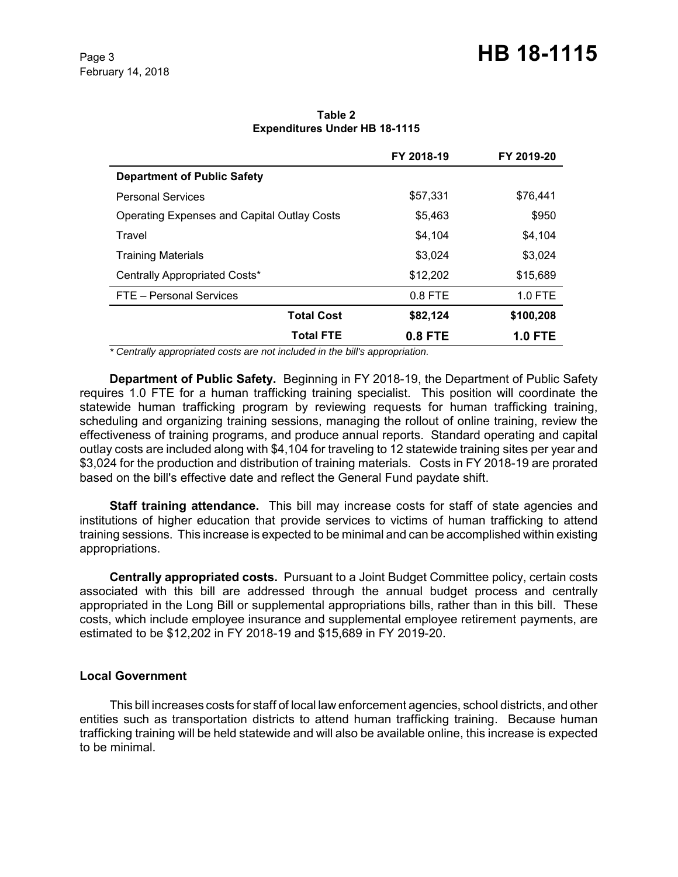# Page 3 **HB 18-1115**

|                                                    | FY 2018-19 | FY 2019-20     |
|----------------------------------------------------|------------|----------------|
| <b>Department of Public Safety</b>                 |            |                |
| <b>Personal Services</b>                           | \$57,331   | \$76,441       |
| <b>Operating Expenses and Capital Outlay Costs</b> | \$5,463    | \$950          |
| Travel                                             | \$4.104    | \$4,104        |
| <b>Training Materials</b>                          | \$3.024    | \$3,024        |
| Centrally Appropriated Costs*                      | \$12,202   | \$15,689       |
| FTE - Personal Services                            | $0.8$ FTE  | $1.0$ FTE      |
| <b>Total Cost</b>                                  | \$82,124   | \$100,208      |
| <b>Total FTE</b>                                   | $0.8$ FTE  | <b>1.0 FTE</b> |

**Table 2 Expenditures Under HB 18-1115**

 *\* Centrally appropriated costs are not included in the bill's appropriation.*

**Department of Public Safety.** Beginning in FY 2018-19, the Department of Public Safety requires 1.0 FTE for a human trafficking training specialist. This position will coordinate the statewide human trafficking program by reviewing requests for human trafficking training, scheduling and organizing training sessions, managing the rollout of online training, review the effectiveness of training programs, and produce annual reports. Standard operating and capital outlay costs are included along with \$4,104 for traveling to 12 statewide training sites per year and \$3,024 for the production and distribution of training materials. Costs in FY 2018-19 are prorated based on the bill's effective date and reflect the General Fund paydate shift.

**Staff training attendance.** This bill may increase costs for staff of state agencies and institutions of higher education that provide services to victims of human trafficking to attend training sessions. This increase is expected to be minimal and can be accomplished within existing appropriations.

**Centrally appropriated costs.** Pursuant to a Joint Budget Committee policy, certain costs associated with this bill are addressed through the annual budget process and centrally appropriated in the Long Bill or supplemental appropriations bills, rather than in this bill. These costs, which include employee insurance and supplemental employee retirement payments, are estimated to be \$12,202 in FY 2018-19 and \$15,689 in FY 2019-20.

### **Local Government**

This bill increases costs for staff of local law enforcement agencies, school districts, and other entities such as transportation districts to attend human trafficking training. Because human trafficking training will be held statewide and will also be available online, this increase is expected to be minimal.